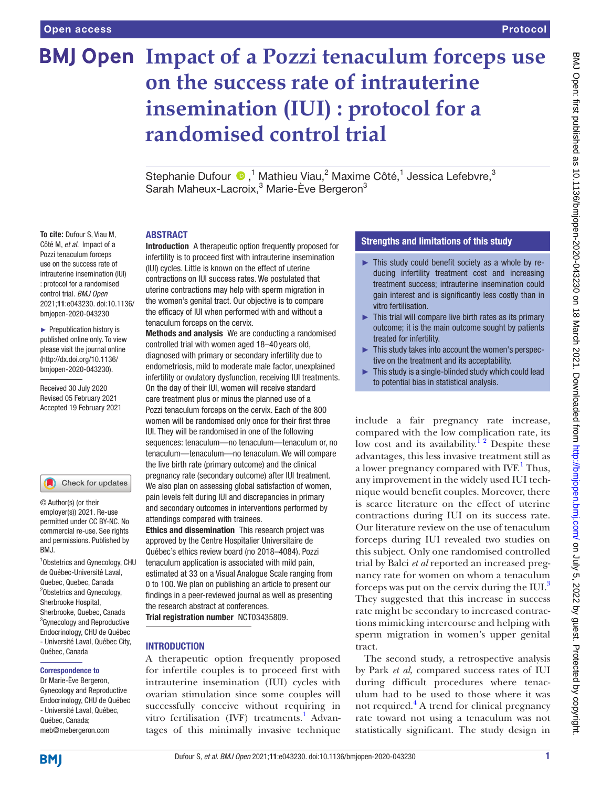**To cite:** Dufour S, Viau M, Côté M, *et al*. Impact of a Pozzi tenaculum forceps use on the success rate of intrauterine insemination (IUI) : protocol for a randomised control trial. *BMJ Open* 2021;11:e043230. doi:10.1136/ bmjopen-2020-043230 ► Prepublication history is published online only. To view please visit the journal online (http://dx.doi.org/10.1136/ bmjopen-2020-043230). Received 30 July 2020 Revised 05 February 2021 Accepted 19 February 2021

1 Obstetrics and Gynecology, CHU de Québec-Université Laval, Quebec, Quebec, Canada <sup>2</sup>Obstetrics and Gynecology, Sherbrooke Hospital, Sherbrooke, Quebec, Canada <sup>3</sup> Gynecology and Reproductive Endocrinology, CHU de Québec - Université Laval, Québec City,

Check for updates

© Author(s) (or their employer(s)) 2021. Re-use permitted under CC BY-NC. No commercial re-use. See rights and permissions. Published by

BMJ.

# **BMJ Open Impact of a Pozzi tenaculum forceps use on the success rate of intrauterine insemination (IUI) : protocol for a randomised control trial**

Stephanie Dufour  $\bigcirc$ ,<sup>1</sup> Mathieu Viau,<sup>2</sup> Maxime Côté,<sup>1</sup> Jessica Lefebvre,<sup>3</sup> Sarah Maheux-Lacroix,<sup>3</sup> Marie-Ève Bergeron<sup>3</sup>

#### ABSTRACT

Introduction A therapeutic option frequently proposed for infertility is to proceed first with intrauterine insemination (IUI) cycles. Little is known on the effect of uterine contractions on IUI success rates. We postulated that uterine contractions may help with sperm migration in the women's genital tract. Our objective is to compare the efficacy of IUI when performed with and without a tenaculum forceps on the cervix.

Methods and analysis We are conducting a randomised controlled trial with women aged 18–40 years old, diagnosed with primary or secondary infertility due to endometriosis, mild to moderate male factor, unexplained infertility or ovulatory dysfunction, receiving IUI treatments. On the day of their IUI, women will receive standard care treatment plus or minus the planned use of a Pozzi tenaculum forceps on the cervix. Each of the 800 women will be randomised only once for their first three IUI. They will be randomised in one of the following sequences: tenaculum—no tenaculum—tenaculum or, no tenaculum—tenaculum—no tenaculum. We will compare the live birth rate (primary outcome) and the clinical pregnancy rate (secondary outcome) after IUI treatment. We also plan on assessing global satisfaction of women, pain levels felt during IUI and discrepancies in primary and secondary outcomes in interventions performed by attendings compared with trainees.

Ethics and dissemination This research project was approved by the Centre Hospitalier Universitaire de Québec's ethics review board (no 2018–4084). Pozzi tenaculum application is associated with mild pain, estimated at 33 on a Visual Analogue Scale ranging from 0 to 100. We plan on publishing an article to present our findings in a peer-reviewed journal as well as presenting the research abstract at conferences. Trial registration number <NCT03435809>.

#### **INTRODUCTION**

A therapeutic option frequently proposed for infertile couples is to proceed first with intrauterine insemination (IUI) cycles with ovarian stimulation since some couples will successfully conceive without requiring in vitro fertilisation (IVF) treatments.<sup>1</sup> Advantages of this minimally invasive technique

## Strengths and limitations of this study

- ► This study could benefit society as a whole by reducing infertility treatment cost and increasing treatment success; intrauterine insemination could gain interest and is significantly less costly than in vitro fertilisation.
- ► This trial will compare live birth rates as its primary outcome; it is the main outcome sought by patients treated for infertility.
- ► This study takes into account the women's perspective on the treatment and its acceptability.
- $\blacktriangleright$  This study is a single-blinded study which could lead to potential bias in statistical analysis.

include a fair pregnancy rate increase, compared with the low complication rate, its low cost and its availability.<sup>1</sup> <sup>2</sup> Despite these advantages, this less invasive treatment still as a lower pregnancy compared with IVF.<sup>[1](#page-4-0)</sup> Thus, any improvement in the widely used IUI technique would benefit couples. Moreover, there is scarce literature on the effect of uterine contractions during IUI on its success rate. Our literature review on the use of tenaculum forceps during IUI revealed two studies on this subject. Only one randomised controlled trial by Balci *et al* reported an increased pregnancy rate for women on whom a tenaculum forceps was put on the cervix during the IUI.[3](#page-4-1) They suggested that this increase in success rate might be secondary to increased contractions mimicking intercourse and helping with sperm migration in women's upper genital tract.

The second study, a retrospective analysis by Park *et al*, compared success rates of IUI during difficult procedures where tenaculum had to be used to those where it was not required.<sup>[4](#page-4-2)</sup> A trend for clinical pregnancy rate toward not using a tenaculum was not statistically significant. The study design in

**BMI** 

Québec, Canada Correspondence to Dr Marie-Ève Bergeron, Gynecology and Reproductive Endocrinology, CHU de Québec - Université Laval, Québec, Québec, Canada; meb@mebergeron.com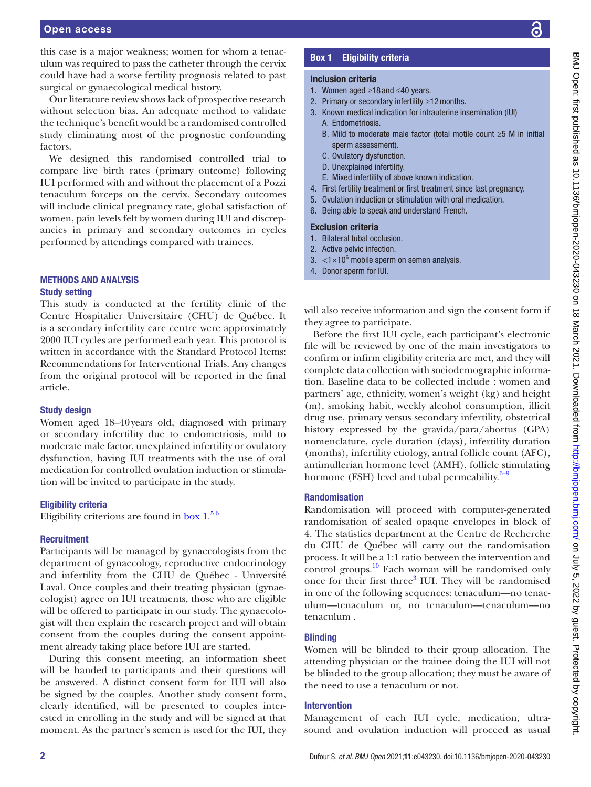this case is a major weakness; women for whom a tenaculum was required to pass the catheter through the cervix could have had a worse fertility prognosis related to past surgical or gynaecological medical history.

Our literature review shows lack of prospective research without selection bias. An adequate method to validate the technique's benefit would be a randomised controlled study eliminating most of the prognostic confounding factors.

We designed this randomised controlled trial to compare live birth rates (primary outcome) following IUI performed with and without the placement of a Pozzi tenaculum forceps on the cervix. Secondary outcomes will include clinical pregnancy rate, global satisfaction of women, pain levels felt by women during IUI and discrepancies in primary and secondary outcomes in cycles performed by attendings compared with trainees.

## METHODS AND ANALYSIS Study setting

This study is conducted at the fertility clinic of the Centre Hospitalier Universitaire (CHU) de Québec. It is a secondary infertility care centre were approximately 2000 IUI cycles are performed each year. This protocol is written in accordance with the Standard Protocol Items: Recommendations for Interventional Trials. Any changes from the original protocol will be reported in the final article.

## Study design

Women aged 18–40years old, diagnosed with primary or secondary infertility due to endometriosis, mild to moderate male factor, unexplained infertility or ovulatory dysfunction, having IUI treatments with the use of oral medication for controlled ovulation induction or stimulation will be invited to participate in the study.

## Eligibility criteria

Eligibility criterions are found in [box](#page-1-0)  $1.^{56}$ 

## **Recruitment**

Participants will be managed by gynaecologists from the department of gynaecology, reproductive endocrinology and infertility from the CHU de Québec - Université Laval. Once couples and their treating physician (gynaecologist) agree on IUI treatments, those who are eligible will be offered to participate in our study. The gynaecologist will then explain the research project and will obtain consent from the couples during the consent appointment already taking place before IUI are started.

During this consent meeting, an information sheet will be handed to participants and their questions will be answered. A distinct consent form for IUI will also be signed by the couples. Another study consent form, clearly identified, will be presented to couples interested in enrolling in the study and will be signed at that moment. As the partner's semen is used for the IUI, they

## Box 1 Eligibility criteria

## <span id="page-1-0"></span>Inclusion criteria

- 1. Women aged ≥18 and ≤40 years.
- 2. Primary or secondary infertility ≥12months.
- 3. Known medical indication for intrauterine insemination (IUI) A. Endometriosis.
	- B. Mild to moderate male factor (total motile count ≥5 M in initial sperm assessment).
	- C. Ovulatory dysfunction.
	- D. Unexplained infertility.
- E. Mixed infertility of above known indication.
- 4. First fertility treatment or first treatment since last pregnancy.
- 5. Ovulation induction or stimulation with oral medication.
- 6. Being able to speak and understand French.

### Exclusion criteria

- 1. Bilateral tubal occlusion.
- 2. Active pelvic infection.
- 3.  $\langle 1 \times 10^6$  mobile sperm on semen analysis.
- 4. Donor sperm for IUI.

will also receive information and sign the consent form if they agree to participate.

Before the first IUI cycle, each participant's electronic file will be reviewed by one of the main investigators to confirm or infirm eligibility criteria are met, and they will complete data collection with sociodemographic information. Baseline data to be collected include : women and partners' age, ethnicity, women's weight (kg) and height (m), smoking habit, weekly alcohol consumption, illicit drug use, primary versus secondary infertility, obstetrical history expressed by the gravida/para/abortus (GPA) nomenclature, cycle duration (days), infertility duration (months), infertility etiology, antral follicle count (AFC), antimullerian hormone level (AMH), follicle stimulating hormone (FSH) level and tubal permeability. $6-9$ 

## Randomisation

Randomisation will proceed with computer-generated randomisation of sealed opaque envelopes in block of 4. The statistics department at the Centre de Recherche du CHU de Québec will carry out the randomisation process. It will be a 1:1 ratio between the intervention and control groups. $\frac{10}{10}$  $\frac{10}{10}$  $\frac{10}{10}$  Each woman will be randomised only once for their first three<sup>3</sup> IUI. They will be randomised in one of the following sequences: tenaculum—no tenaculum—tenaculum or, no tenaculum—tenaculum—no tenaculum .

## **Blinding**

Women will be blinded to their group allocation. The attending physician or the trainee doing the IUI will not be blinded to the group allocation; they must be aware of the need to use a tenaculum or not.

## Intervention

Management of each IUI cycle, medication, ultrasound and ovulation induction will proceed as usual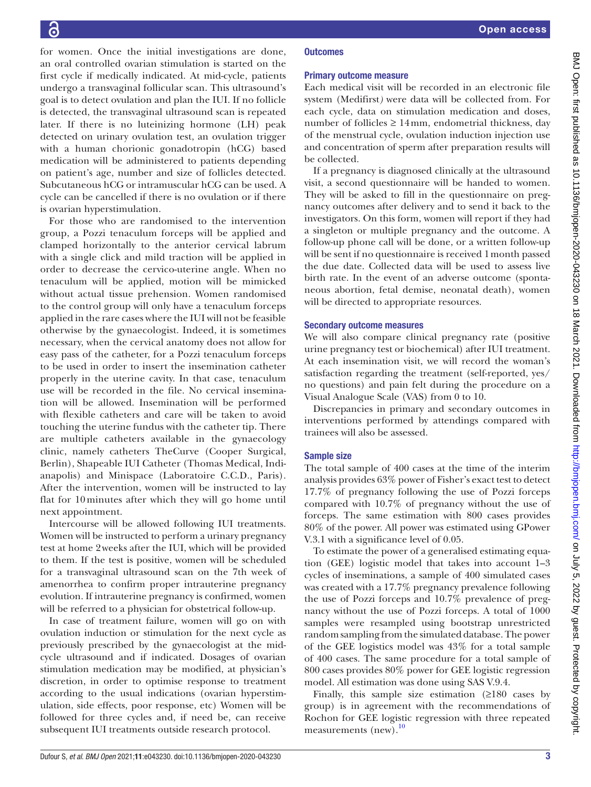for women. Once the initial investigations are done, an oral controlled ovarian stimulation is started on the first cycle if medically indicated. At mid-cycle, patients undergo a transvaginal follicular scan. This ultrasound's goal is to detect ovulation and plan the IUI. If no follicle is detected, the transvaginal ultrasound scan is repeated later. If there is no luteinizing hormone (LH) peak detected on urinary ovulation test, an ovulation trigger with a human chorionic gonadotropin (hCG) based medication will be administered to patients depending on patient's age, number and size of follicles detected. Subcutaneous hCG or intramuscular hCG can be used. A cycle can be cancelled if there is no ovulation or if there is ovarian hyperstimulation.

For those who are randomised to the intervention group, a Pozzi tenaculum forceps will be applied and clamped horizontally to the anterior cervical labrum with a single click and mild traction will be applied in order to decrease the cervico-uterine angle. When no tenaculum will be applied, motion will be mimicked without actual tissue prehension. Women randomised to the control group will only have a tenaculum forceps applied in the rare cases where the IUI will not be feasible otherwise by the gynaecologist. Indeed, it is sometimes necessary, when the cervical anatomy does not allow for easy pass of the catheter, for a Pozzi tenaculum forceps to be used in order to insert the insemination catheter properly in the uterine cavity. In that case, tenaculum use will be recorded in the file. No cervical insemination will be allowed. Insemination will be performed with flexible catheters and care will be taken to avoid touching the uterine fundus with the catheter tip. There are multiple catheters available in the gynaecology clinic, namely catheters TheCurve (Cooper Surgical, Berlin), Shapeable IUI Catheter (Thomas Medical, Indianapolis) and Minispace (Laboratoire C.C.D., Paris). After the intervention, women will be instructed to lay flat for 10 minutes after which they will go home until next appointment.

Intercourse will be allowed following IUI treatments. Women will be instructed to perform a urinary pregnancy test at home 2weeks after the IUI, which will be provided to them. If the test is positive, women will be scheduled for a transvaginal ultrasound scan on the 7th week of amenorrhea to confirm proper intrauterine pregnancy evolution. If intrauterine pregnancy is confirmed, women will be referred to a physician for obstetrical follow-up.

In case of treatment failure, women will go on with ovulation induction or stimulation for the next cycle as previously prescribed by the gynaecologist at the midcycle ultrasound and if indicated. Dosages of ovarian stimulation medication may be modified, at physician's discretion, in order to optimise response to treatment according to the usual indications (ovarian hyperstimulation, side effects, poor response, etc) Women will be followed for three cycles and, if need be, can receive subsequent IUI treatments outside research protocol.

## **Outcomes**

## Primary outcome measure

Each medical visit will be recorded in an electronic file system (Medifirst*)* were data will be collected from. For each cycle, data on stimulation medication and doses, number of follicles  $\geq 14$  mm, endometrial thickness, day of the menstrual cycle, ovulation induction injection use and concentration of sperm after preparation results will be collected.

If a pregnancy is diagnosed clinically at the ultrasound visit, a second questionnaire will be handed to women. They will be asked to fill in the questionnaire on pregnancy outcomes after delivery and to send it back to the investigators. On this form, women will report if they had a singleton or multiple pregnancy and the outcome. A follow-up phone call will be done, or a written follow-up will be sent if no questionnaire is received 1month passed the due date. Collected data will be used to assess live birth rate. In the event of an adverse outcome (spontaneous abortion, fetal demise, neonatal death), women will be directed to appropriate resources.

## Secondary outcome measures

We will also compare clinical pregnancy rate (positive urine pregnancy test or biochemical) after IUI treatment. At each insemination visit, we will record the woman's satisfaction regarding the treatment (self-reported, yes/ no questions) and pain felt during the procedure on a Visual Analogue Scale (VAS) from 0 to 10.

Discrepancies in primary and secondary outcomes in interventions performed by attendings compared with trainees will also be assessed.

## Sample size

The total sample of 400 cases at the time of the interim analysis provides 63% power of Fisher's exact test to detect 17.7% of pregnancy following the use of Pozzi forceps compared with 10.7% of pregnancy without the use of forceps. The same estimation with 800 cases provides 80% of the power. All power was estimated using GPower V.3.1 with a significance level of 0.05.

To estimate the power of a generalised estimating equation (GEE) logistic model that takes into account 1–3 cycles of inseminations, a sample of 400 simulated cases was created with a 17.7% pregnancy prevalence following the use of Pozzi forceps and 10.7% prevalence of pregnancy without the use of Pozzi forceps. A total of 1000 samples were resampled using bootstrap unrestricted random sampling from the simulated database. The power of the GEE logistics model was 43% for a total sample of 400 cases. The same procedure for a total sample of 800 cases provides 80% power for GEE logistic regression model. All estimation was done using SAS V.9.4.

Finally, this sample size estimation (≥180 cases by group) is in agreement with the recommendations of Rochon for GEE logistic regression with three repeated measurements (new).<sup>10</sup>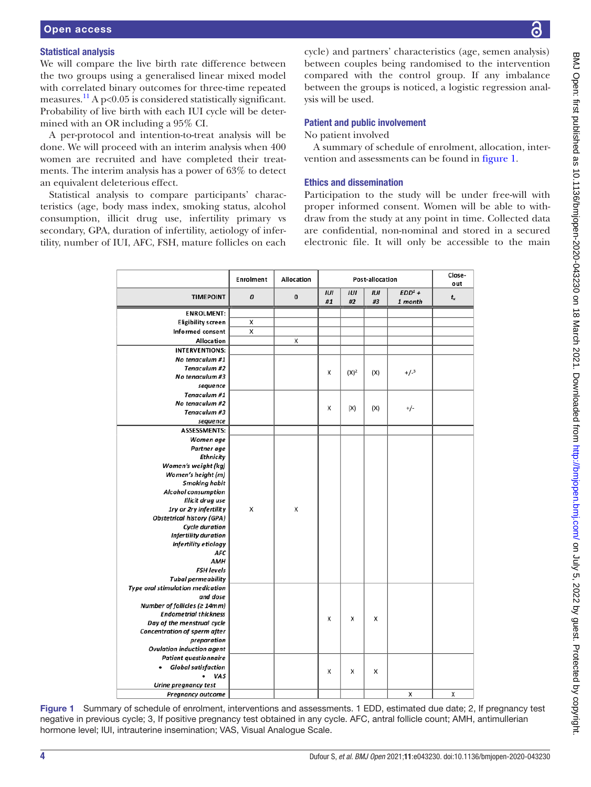# Statistical analysis

We will compare the live birth rate difference between the two groups using a generalised linear mixed model with correlated binary outcomes for three-time repeated measures.<sup>[11](#page-4-6)</sup> A p<0.05 is considered statistically significant. Probability of live birth with each IUI cycle will be determined with an OR including a 95% CI.

A per-protocol and intention-to-treat analysis will be done. We will proceed with an interim analysis when 400 women are recruited and have completed their treatments. The interim analysis has a power of 63% to detect an equivalent deleterious effect.

Statistical analysis to compare participants' characteristics (age, body mass index, smoking status, alcohol consumption, illicit drug use, infertility primary vs secondary, GPA, duration of infertility, aetiology of infertility, number of IUI, AFC, FSH, mature follicles on each

cycle) and partners' characteristics (age, semen analysis) between couples being randomised to the intervention compared with the control group. If any imbalance between the groups is noticed, a logistic regression analysis will be used.

# Patient and public involvement

No patient involved

A summary of schedule of enrolment, allocation, intervention and assessments can be found in [figure](#page-3-0) 1.

# Ethics and dissemination

Participation to the study will be under free-will with proper informed consent. Women will be able to withdraw from the study at any point in time. Collected data are confidential, non-nominal and stored in a secured electronic file. It will only be accessible to the main

|                                                                     | Enrolment | Allocation | Post-allocation |           |           |                     | Close-<br>out |
|---------------------------------------------------------------------|-----------|------------|-----------------|-----------|-----------|---------------------|---------------|
| <b>TIMEPOINT</b>                                                    | 0         | $\bf{0}$   | IUI<br>#1       | IUI<br>#2 | IUI<br>#3 | $EDD1 +$<br>1 month | $t_{x}$       |
| <b>ENROLMENT:</b>                                                   |           |            |                 |           |           |                     |               |
| <b>Eligibility screen</b>                                           | X         |            |                 |           |           |                     |               |
| Informed consent                                                    | X         |            |                 |           |           |                     |               |
| <b>Allocation</b>                                                   |           | X          |                 |           |           |                     |               |
| <b>INTERVENTIONS:</b>                                               |           |            |                 |           |           |                     |               |
| No tenaculum #1                                                     |           |            |                 |           |           |                     |               |
| Tenaculum #2                                                        |           |            | X               | $(X)^2$   | (X)       | $+/-3$              |               |
| No tenaculum #3                                                     |           |            |                 |           |           |                     |               |
| sequence                                                            |           |            |                 |           |           |                     |               |
| Tenaculum #1                                                        |           |            |                 |           |           |                     |               |
| No tenaculum #2                                                     |           |            | х               | (X)       | (X)       | +/-                 |               |
| Tenaculum #3                                                        |           |            |                 |           |           |                     |               |
| sequence                                                            |           |            |                 |           |           |                     |               |
| <b>ASSESSMENTS:</b>                                                 |           |            |                 |           |           |                     |               |
| Women age                                                           |           |            |                 |           |           |                     |               |
| Partner age                                                         |           |            |                 |           |           |                     |               |
| Ethnicity                                                           |           |            |                 |           |           |                     |               |
| Women's weight (kg)                                                 |           |            |                 |           |           |                     |               |
| Women's height (m)                                                  |           |            |                 |           |           |                     |               |
| <b>Smoking habit</b>                                                |           |            |                 |           |           |                     |               |
| <b>Alcohol consumption</b>                                          |           |            |                 |           |           |                     |               |
| Illicit drug use                                                    |           |            |                 |           |           |                     |               |
| 1ry or 2ry infertility                                              | X         | X          |                 |           |           |                     |               |
| <b>Obstetrical history (GPA)</b>                                    |           |            |                 |           |           |                     |               |
| <b>Cycle duration</b>                                               |           |            |                 |           |           |                     |               |
| <b>Infertility duration</b>                                         |           |            |                 |           |           |                     |               |
| Infertility etiology                                                |           |            |                 |           |           |                     |               |
| <b>AFC</b>                                                          |           |            |                 |           |           |                     |               |
| <b>AMH</b>                                                          |           |            |                 |           |           |                     |               |
| <b>FSH levels</b>                                                   |           |            |                 |           |           |                     |               |
| <b>Tubal permeability</b>                                           |           |            |                 |           |           |                     |               |
| <b>Type oral stimulation medication</b>                             |           |            |                 |           |           |                     |               |
| and dose                                                            |           |            |                 |           |           |                     |               |
| Number of follicles ( $\geq 14$ mm)<br><b>Endometrial thickness</b> |           |            |                 |           |           |                     |               |
| Day of the menstrual cycle                                          |           |            | x               | x         | х         |                     |               |
| Concentration of sperm after                                        |           |            |                 |           |           |                     |               |
| preparation                                                         |           |            |                 |           |           |                     |               |
| <b>Ovulation induction agent</b>                                    |           |            |                 |           |           |                     |               |
| <b>Patient questionnaire</b>                                        |           |            |                 |           |           |                     |               |
| <b>Global satisfaction</b>                                          |           |            |                 |           |           |                     |               |
| VAS                                                                 |           |            | Χ               | X         | х         |                     |               |
| Urine pregnancy test                                                |           |            |                 |           |           |                     |               |
| <b>Pregnancy outcome</b>                                            |           |            |                 |           |           | X                   | X             |
|                                                                     |           |            |                 |           |           |                     |               |

<span id="page-3-0"></span>Figure 1 Summary of schedule of enrolment, interventions and assessments. 1 EDD, estimated due date; 2, If pregnancy test negative in previous cycle; 3, If positive pregnancy test obtained in any cycle. AFC, antral follicle count; AMH, antimullerian hormone level; IUI, intrauterine insemination; VAS, Visual Analogue Scale.